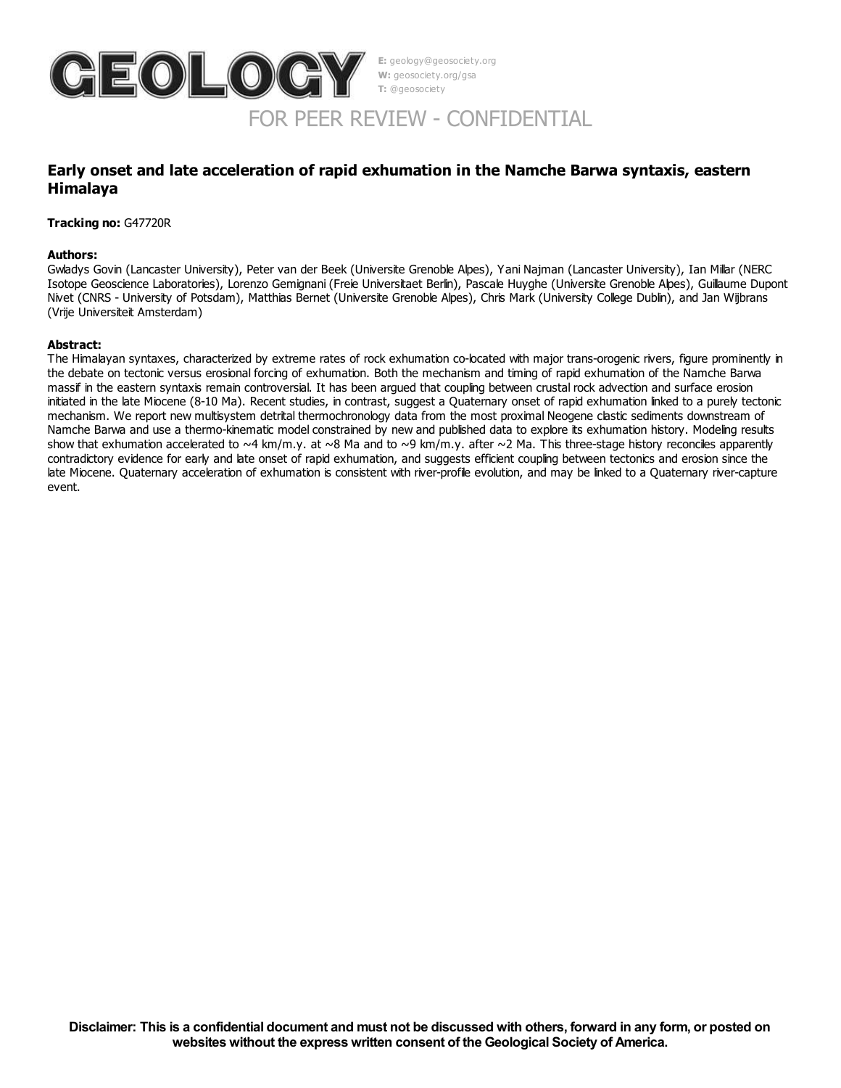

**E:** geology@geosociety.org **W:** geosociety.org/gsa **T:** @geosociety

# FOR PEER REVIEW - CONFIDENTIAL

## **Early onset and late acceleration of rapid exhumation in the Namche Barwa syntaxis, eastern Himalaya**

**Tracking no:** G47720R

#### **Authors:**

Gwladys Govin (Lancaster University), Peter van der Beek (Universite Grenoble Alpes), Yani Najman (Lancaster University), Ian Millar (NERC Isotope Geoscience Laboratories), Lorenzo Gemignani (Freie Universitaet Berlin), Pascale Huyghe (Universite Grenoble Alpes), Guillaume Dupont Nivet (CNRS - University of Potsdam), Matthias Bernet (Universite Grenoble Alpes), Chris Mark (University College Dublin), and Jan Wijbrans (Vrije Universiteit Amsterdam)

#### **Abstract:**

The Himalayan syntaxes, characterized by extreme rates of rock exhumation co-located with major trans-orogenic rivers, figure prominently in the debate on tectonic versus erosional forcing of exhumation. Both the mechanism and timing of rapid exhumation of the Namche Barwa massif in the eastern syntaxis remain controversial. It has been argued that coupling between crustal rock advection and surface erosion initiated in the late Miocene (8-10 Ma). Recent studies, in contrast, suggest a Quaternary onset of rapid exhumation linked to a purely tectonic mechanism. We report new multisystem detrital thermochronology data from the most proximal Neogene clastic sediments downstream of Namche Barwa and use a thermo-kinematic model constrained by new and published data to explore its exhumation history. Modeling results show that exhumation accelerated to  $\sim$ 4 km/m.y. at  $\sim$ 8 Ma and to  $\sim$ 9 km/m.y. after  $\sim$ 2 Ma. This three-stage history reconciles apparently contradictory evidence for early and late onset of rapid exhumation, and suggests efficient coupling between tectonics and erosion since the late Miocene. Quaternary acceleration of exhumation is consistent with river-profile evolution, and may be linked to a Quaternary river-capture event.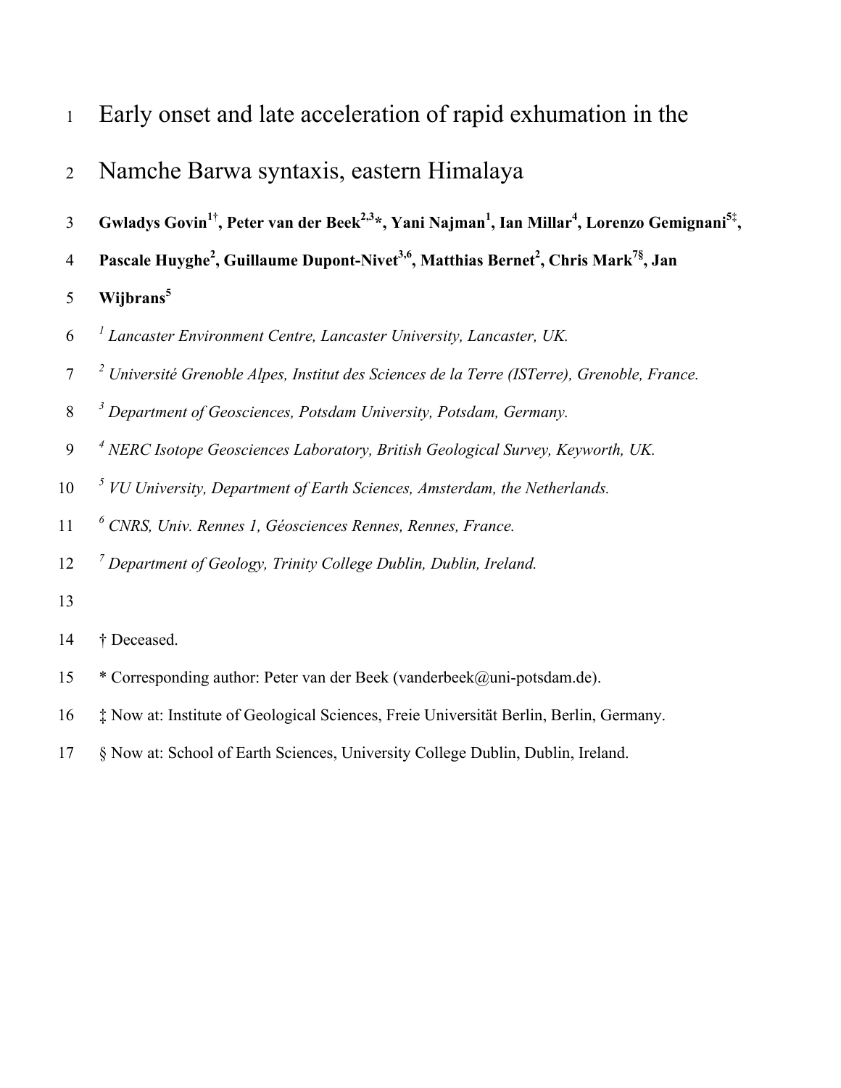- Early onset and late acceleration of rapid exhumation in the
- Namche Barwa syntaxis, eastern Himalaya
- 3 Gwladys Govin<sup>1†</sup>, Peter van der Beek<sup>2,3</sup>\*, Yani Najman<sup>1</sup>, Ian Millar<sup>4</sup>, Lorenzo Gemignani<sup>5‡</sup>,
- 4 Pascale Huyghe<sup>2</sup>, Guillaume Dupont-Nivet<sup>3,6</sup>, Matthias Bernet<sup>2</sup>, Chris Mark<sup>7§</sup>, Jan
- **Wijbrans<sup>5</sup>**
- *<sup>1</sup> Lancaster Environment Centre, Lancaster University, Lancaster, UK.*
- *<sup>2</sup> Université Grenoble Alpes, Institut des Sciences de la Terre (ISTerre), Grenoble, France.*
- *<sup>3</sup> Department of Geosciences, Potsdam University, Potsdam, Germany.*
- *<sup>4</sup> NERC Isotope Geosciences Laboratory, British Geological Survey, Keyworth, UK.*
- *<sup>5</sup> VU University, Department of Earth Sciences, Amsterdam, the Netherlands.*
- *<sup>6</sup> CNRS, Univ. Rennes 1, Géosciences Rennes, Rennes, France.*
- *<sup>7</sup> Department of Geology, Trinity College Dublin, Dublin, Ireland.*
- 
- † Deceased.
- \* Corresponding author: Peter van der Beek (vanderbeek@uni-potsdam.de).
- ‡ Now at: Institute of Geological Sciences, Freie Universität Berlin, Berlin, Germany.
- § Now at: School of Earth Sciences, University College Dublin, Dublin, Ireland.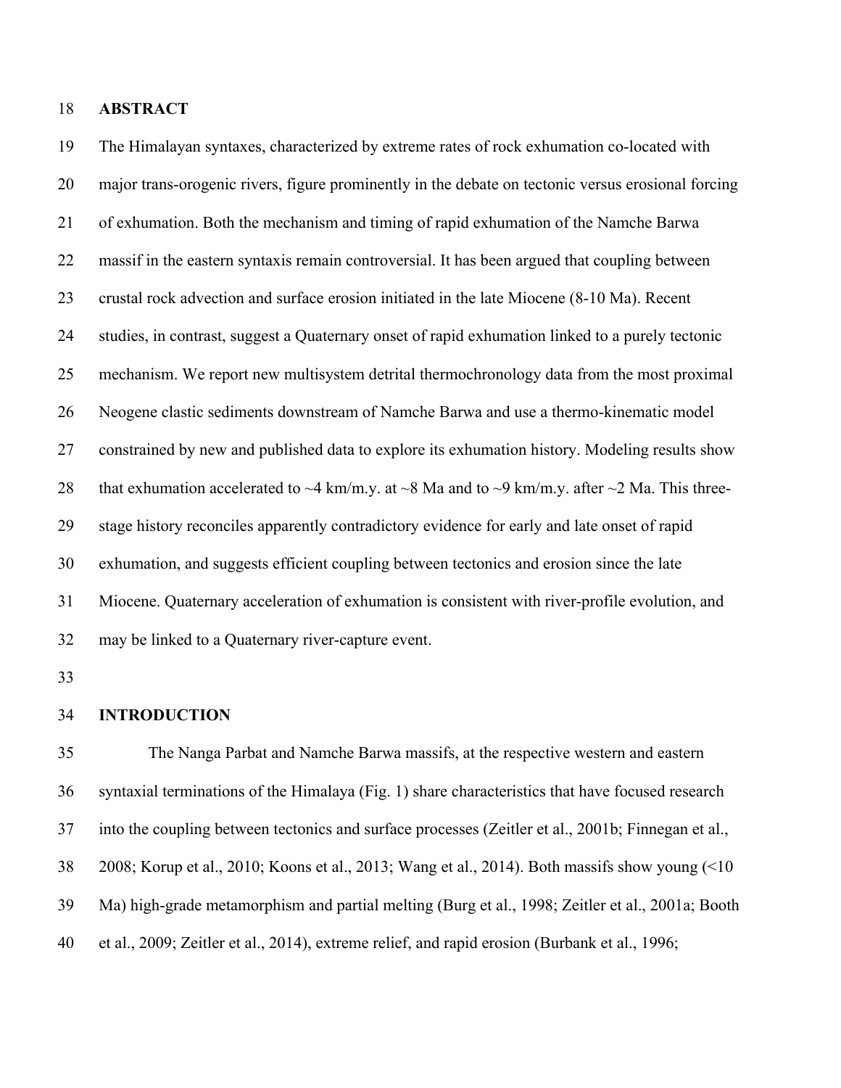### **ABSTRACT**

 The Himalayan syntaxes, characterized by extreme rates of rock exhumation co-located with major trans-orogenic rivers, figure prominently in the debate on tectonic versus erosional forcing of exhumation. Both the mechanism and timing of rapid exhumation of the Namche Barwa massif in the eastern syntaxis remain controversial. It has been argued that coupling between crustal rock advection and surface erosion initiated in the late Miocene (8-10 Ma). Recent studies, in contrast, suggest a Quaternary onset of rapid exhumation linked to a purely tectonic mechanism. We report new multisystem detrital thermochronology data from the most proximal Neogene clastic sediments downstream of Namche Barwa and use a thermo-kinematic model constrained by new and published data to explore its exhumation history. Modeling results show 28 that exhumation accelerated to  $\sim$ 4 km/m.y. at  $\sim$ 8 Ma and to  $\sim$ 9 km/m.y. after  $\sim$ 2 Ma. This three- stage history reconciles apparently contradictory evidence for early and late onset of rapid exhumation, and suggests efficient coupling between tectonics and erosion since the late Miocene. Quaternary acceleration of exhumation is consistent with river-profile evolution, and may be linked to a Quaternary river-capture event.

### **INTRODUCTION**

 The Nanga Parbat and Namche Barwa massifs, at the respective western and eastern syntaxial terminations of the Himalaya (Fig. 1) share characteristics that have focused research into the coupling between tectonics and surface processes (Zeitler et al., 2001b; Finnegan et al., 2008; Korup et al., 2010; Koons et al., 2013; Wang et al., 2014). Both massifs show young (<10 Ma) high-grade metamorphism and partial melting (Burg et al., 1998; Zeitler et al., 2001a; Booth et al., 2009; Zeitler et al., 2014), extreme relief, and rapid erosion (Burbank et al., 1996;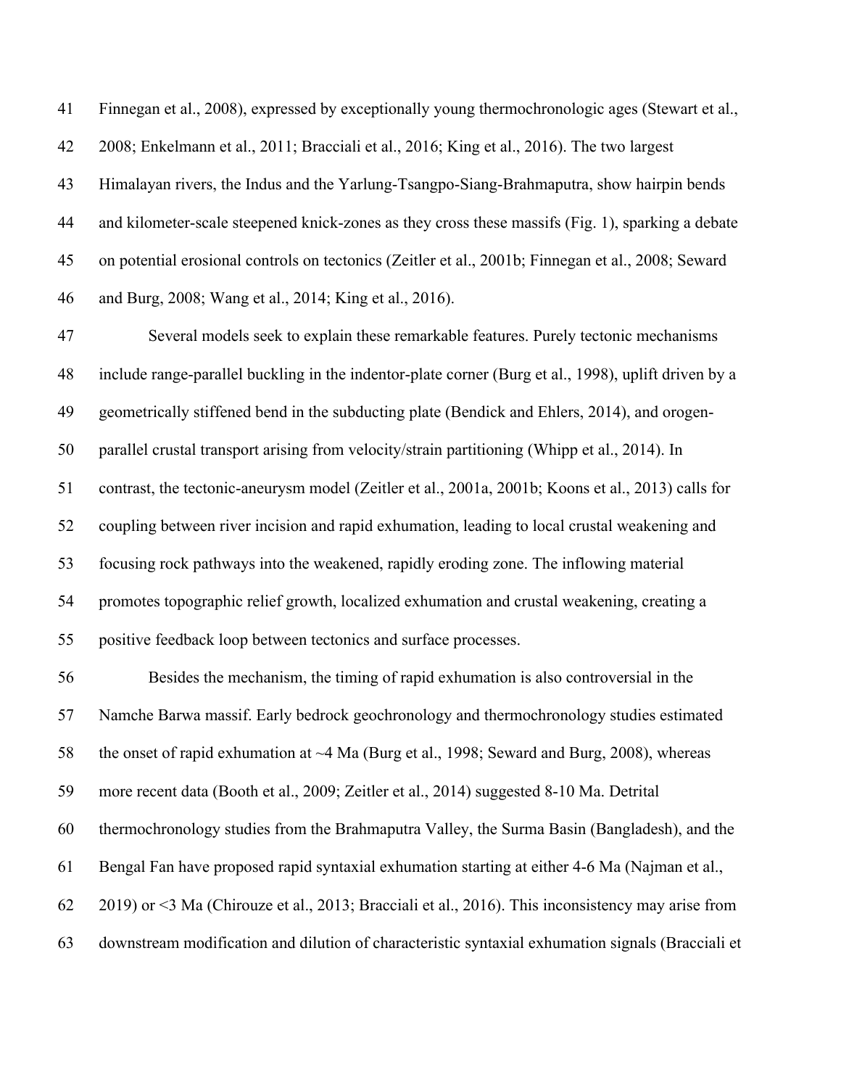Finnegan et al., 2008), expressed by exceptionally young thermochronologic ages (Stewart et al., 2008; Enkelmann et al., 2011; Bracciali et al., 2016; King et al., 2016). The two largest Himalayan rivers, the Indus and the Yarlung-Tsangpo-Siang-Brahmaputra, show hairpin bends and kilometer-scale steepened knick-zones as they cross these massifs (Fig. 1), sparking a debate on potential erosional controls on tectonics (Zeitler et al., 2001b; Finnegan et al., 2008; Seward and Burg, 2008; Wang et al., 2014; King et al., 2016).

 Several models seek to explain these remarkable features. Purely tectonic mechanisms include range-parallel buckling in the indentor-plate corner (Burg et al., 1998), uplift driven by a geometrically stiffened bend in the subducting plate (Bendick and Ehlers, 2014), and orogen- parallel crustal transport arising from velocity/strain partitioning (Whipp et al., 2014). In contrast, the tectonic-aneurysm model (Zeitler et al., 2001a, 2001b; Koons et al., 2013) calls for coupling between river incision and rapid exhumation, leading to local crustal weakening and focusing rock pathways into the weakened, rapidly eroding zone. The inflowing material promotes topographic relief growth, localized exhumation and crustal weakening, creating a positive feedback loop between tectonics and surface processes.

 Besides the mechanism, the timing of rapid exhumation is also controversial in the Namche Barwa massif. Early bedrock geochronology and thermochronology studies estimated 58 the onset of rapid exhumation at ~4 Ma (Burg et al., 1998; Seward and Burg, 2008), whereas more recent data (Booth et al., 2009; Zeitler et al., 2014) suggested 8-10 Ma. Detrital thermochronology studies from the Brahmaputra Valley, the Surma Basin (Bangladesh), and the Bengal Fan have proposed rapid syntaxial exhumation starting at either 4-6 Ma (Najman et al., 2019) or <3 Ma (Chirouze et al., 2013; Bracciali et al., 2016). This inconsistency may arise from downstream modification and dilution of characteristic syntaxial exhumation signals (Bracciali et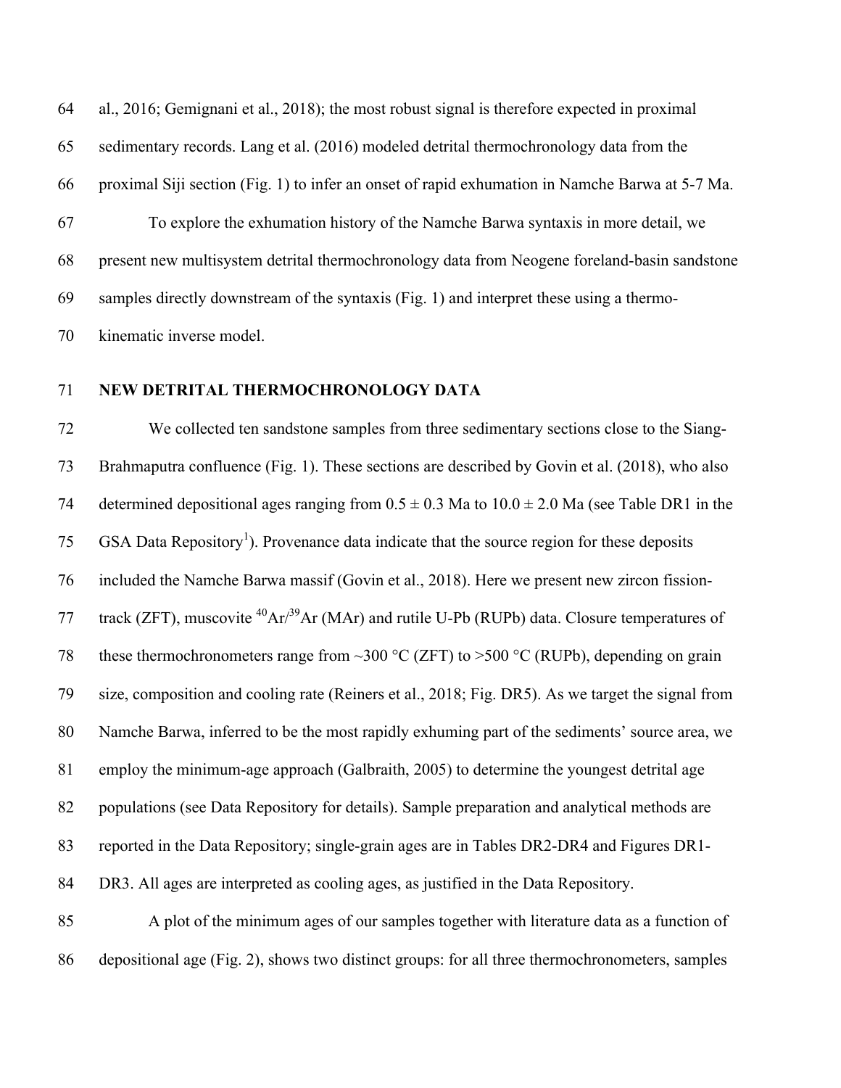al., 2016; Gemignani et al., 2018); the most robust signal is therefore expected in proximal sedimentary records. Lang et al. (2016) modeled detrital thermochronology data from the proximal Siji section (Fig. 1) to infer an onset of rapid exhumation in Namche Barwa at 5-7 Ma. To explore the exhumation history of the Namche Barwa syntaxis in more detail, we present new multisystem detrital thermochronology data from Neogene foreland-basin sandstone samples directly downstream of the syntaxis (Fig. 1) and interpret these using a thermo-kinematic inverse model.

# **NEW DETRITAL THERMOCHRONOLOGY DATA**

 We collected ten sandstone samples from three sedimentary sections close to the Siang- Brahmaputra confluence (Fig. 1). These sections are described by Govin et al. (2018), who also 74 determined depositional ages ranging from  $0.5 \pm 0.3$  Ma to  $10.0 \pm 2.0$  Ma (see Table DR1 in the  $\text{GSA}$  Data Repository<sup>1</sup>). Provenance data indicate that the source region for these deposits included the Namche Barwa massif (Govin et al., 2018). Here we present new zircon fission-77 track (ZFT), muscovite  ${}^{40}Ar/{}^{39}Ar$  (MAr) and rutile U-Pb (RUPb) data. Closure temperatures of 78 these thermochronometers range from ~300  $\degree$ C (ZFT) to >500  $\degree$ C (RUPb), depending on grain size, composition and cooling rate (Reiners et al., 2018; Fig. DR5). As we target the signal from Namche Barwa, inferred to be the most rapidly exhuming part of the sediments' source area, we employ the minimum-age approach (Galbraith, 2005) to determine the youngest detrital age populations (see Data Repository for details). Sample preparation and analytical methods are reported in the Data Repository; single-grain ages are in Tables DR2-DR4 and Figures DR1- DR3. All ages are interpreted as cooling ages, as justified in the Data Repository. A plot of the minimum ages of our samples together with literature data as a function of

depositional age (Fig. 2), shows two distinct groups: for all three thermochronometers, samples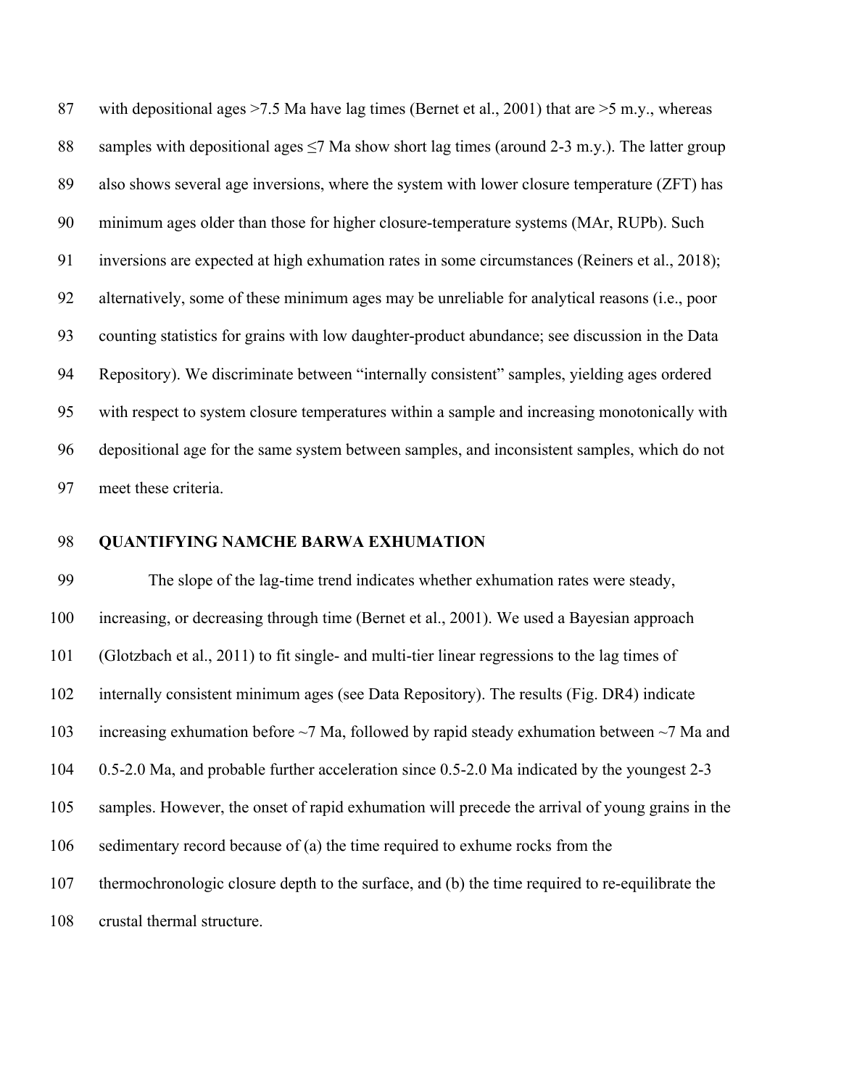87 with depositional ages  $>7.5$  Ma have lag times (Bernet et al., 2001) that are  $>5$  m.y., whereas 88 samples with depositional ages  $\leq$  7 Ma show short lag times (around 2-3 m.y.). The latter group also shows several age inversions, where the system with lower closure temperature (ZFT) has minimum ages older than those for higher closure-temperature systems (MAr, RUPb). Such inversions are expected at high exhumation rates in some circumstances (Reiners et al., 2018); alternatively, some of these minimum ages may be unreliable for analytical reasons (i.e., poor counting statistics for grains with low daughter-product abundance; see discussion in the Data Repository). We discriminate between "internally consistent" samples, yielding ages ordered with respect to system closure temperatures within a sample and increasing monotonically with depositional age for the same system between samples, and inconsistent samples, which do not meet these criteria.

### **QUANTIFYING NAMCHE BARWA EXHUMATION**

 The slope of the lag-time trend indicates whether exhumation rates were steady, increasing, or decreasing through time (Bernet et al., 2001). We used a Bayesian approach (Glotzbach et al., 2011) to fit single- and multi-tier linear regressions to the lag times of internally consistent minimum ages (see Data Repository). The results (Fig. DR4) indicate increasing exhumation before ~7 Ma, followed by rapid steady exhumation between ~7 Ma and 0.5-2.0 Ma, and probable further acceleration since 0.5-2.0 Ma indicated by the youngest 2-3 samples. However, the onset of rapid exhumation will precede the arrival of young grains in the sedimentary record because of (a) the time required to exhume rocks from the thermochronologic closure depth to the surface, and (b) the time required to re-equilibrate the crustal thermal structure.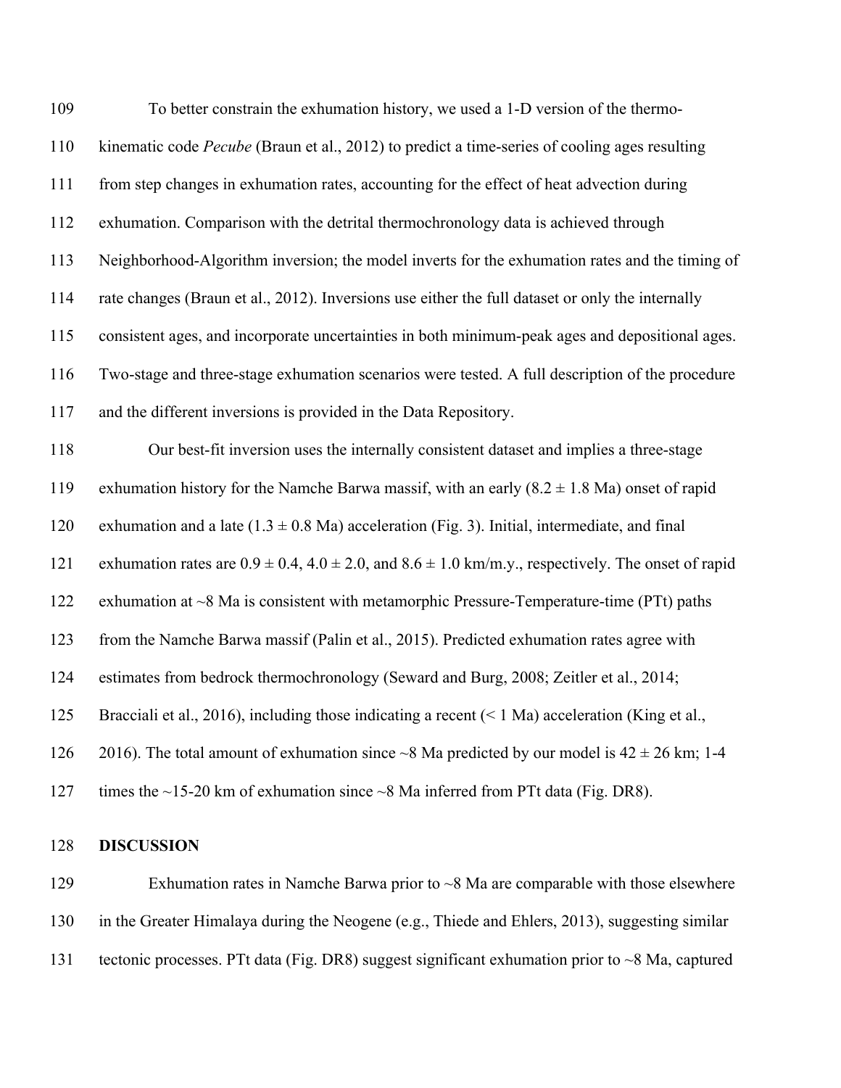| 109 | To better constrain the exhumation history, we used a 1-D version of the thermo-                                 |
|-----|------------------------------------------------------------------------------------------------------------------|
| 110 | kinematic code Pecube (Braun et al., 2012) to predict a time-series of cooling ages resulting                    |
| 111 | from step changes in exhumation rates, accounting for the effect of heat advection during                        |
| 112 | exhumation. Comparison with the detrital thermochronology data is achieved through                               |
| 113 | Neighborhood-Algorithm inversion; the model inverts for the exhumation rates and the timing of                   |
| 114 | rate changes (Braun et al., 2012). Inversions use either the full dataset or only the internally                 |
| 115 | consistent ages, and incorporate uncertainties in both minimum-peak ages and depositional ages.                  |
| 116 | Two-stage and three-stage exhumation scenarios were tested. A full description of the procedure                  |
| 117 | and the different inversions is provided in the Data Repository.                                                 |
| 118 | Our best-fit inversion uses the internally consistent dataset and implies a three-stage                          |
| 119 | exhumation history for the Namche Barwa massif, with an early $(8.2 \pm 1.8 \text{ Ma})$ onset of rapid          |
| 120 | exhumation and a late $(1.3 \pm 0.8 \text{ Ma})$ acceleration (Fig. 3). Initial, intermediate, and final         |
| 121 | exhumation rates are $0.9 \pm 0.4$ , $4.0 \pm 2.0$ , and $8.6 \pm 1.0$ km/m.y., respectively. The onset of rapid |
| 122 | exhumation at ~8 Ma is consistent with metamorphic Pressure-Temperature-time (PTt) paths                         |
| 123 | from the Namche Barwa massif (Palin et al., 2015). Predicted exhumation rates agree with                         |
| 124 | estimates from bedrock thermochronology (Seward and Burg, 2008; Zeitler et al., 2014;                            |
| 125 | Bracciali et al., 2016), including those indicating a recent $($ 1 Ma) acceleration (King et al.,                |
| 126 | 2016). The total amount of exhumation since $\sim$ 8 Ma predicted by our model is 42 $\pm$ 26 km; 1-4            |
| 127 | times the $\sim$ 15-20 km of exhumation since $\sim$ 8 Ma inferred from PTt data (Fig. DR8).                     |
|     |                                                                                                                  |

# **DISCUSSION**

 Exhumation rates in Namche Barwa prior to ~8 Ma are comparable with those elsewhere in the Greater Himalaya during the Neogene (e.g., Thiede and Ehlers, 2013), suggesting similar 131 tectonic processes. PTt data (Fig. DR8) suggest significant exhumation prior to ~8 Ma, captured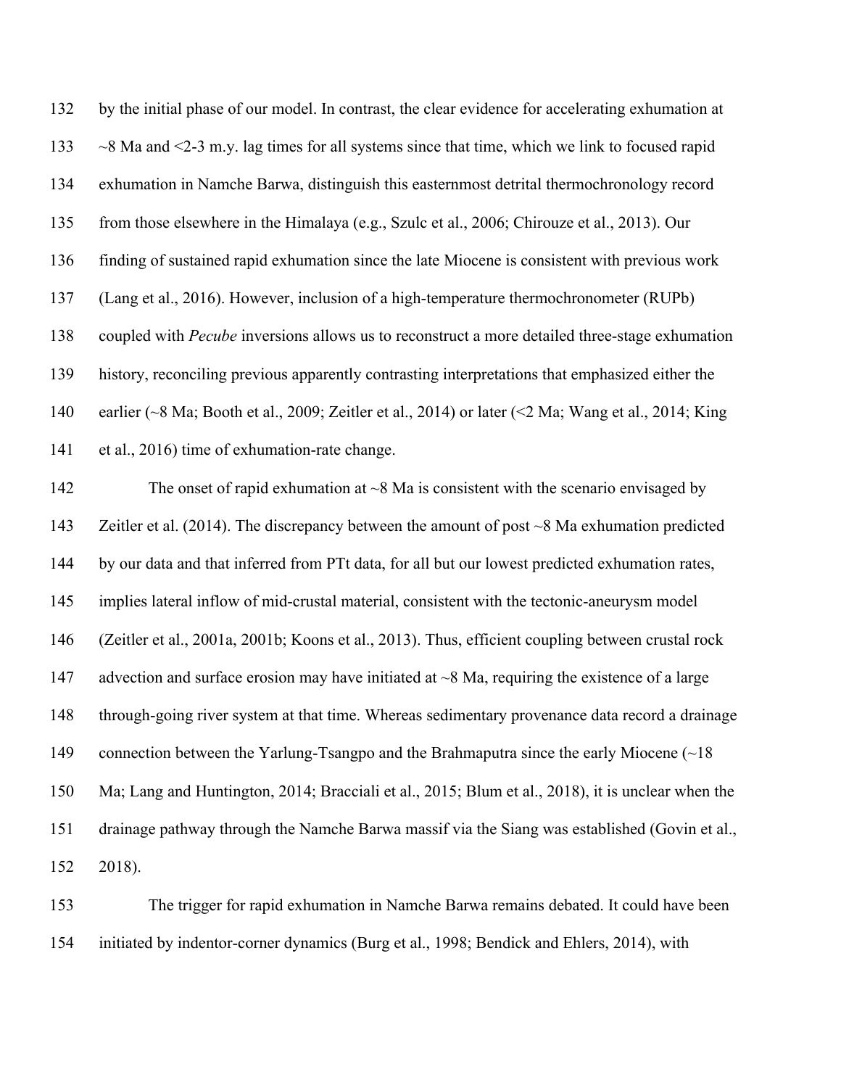by the initial phase of our model. In contrast, the clear evidence for accelerating exhumation at ~8 Ma and <2-3 m.y. lag times for all systems since that time, which we link to focused rapid exhumation in Namche Barwa, distinguish this easternmost detrital thermochronology record from those elsewhere in the Himalaya (e.g., Szulc et al., 2006; Chirouze et al., 2013). Our finding of sustained rapid exhumation since the late Miocene is consistent with previous work (Lang et al., 2016). However, inclusion of a high-temperature thermochronometer (RUPb) coupled with *Pecube* inversions allows us to reconstruct a more detailed three-stage exhumation history, reconciling previous apparently contrasting interpretations that emphasized either the earlier (~8 Ma; Booth et al., 2009; Zeitler et al., 2014) or later (<2 Ma; Wang et al., 2014; King et al., 2016) time of exhumation-rate change.

142 The onset of rapid exhumation at ~8 Ma is consistent with the scenario envisaged by Zeitler et al. (2014). The discrepancy between the amount of post ~8 Ma exhumation predicted by our data and that inferred from PTt data, for all but our lowest predicted exhumation rates, implies lateral inflow of mid-crustal material, consistent with the tectonic-aneurysm model (Zeitler et al., 2001a, 2001b; Koons et al., 2013). Thus, efficient coupling between crustal rock 147 advection and surface erosion may have initiated at  $\sim$ 8 Ma, requiring the existence of a large through-going river system at that time. Whereas sedimentary provenance data record a drainage 149 connection between the Yarlung-Tsangpo and the Brahmaputra since the early Miocene (~18) Ma; Lang and Huntington, 2014; Bracciali et al., 2015; Blum et al., 2018), it is unclear when the drainage pathway through the Namche Barwa massif via the Siang was established (Govin et al., 2018).

 The trigger for rapid exhumation in Namche Barwa remains debated. It could have been initiated by indentor-corner dynamics (Burg et al., 1998; Bendick and Ehlers, 2014), with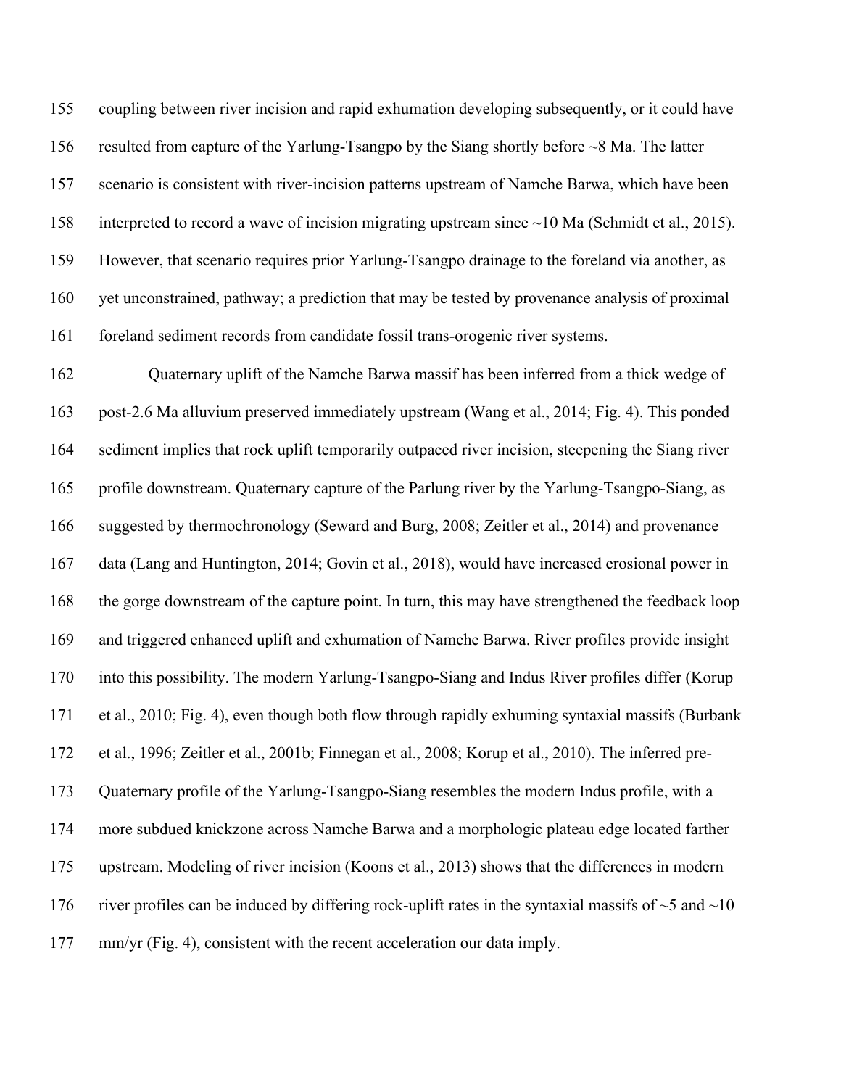coupling between river incision and rapid exhumation developing subsequently, or it could have resulted from capture of the Yarlung-Tsangpo by the Siang shortly before ~8 Ma. The latter scenario is consistent with river-incision patterns upstream of Namche Barwa, which have been interpreted to record a wave of incision migrating upstream since ~10 Ma (Schmidt et al., 2015). However, that scenario requires prior Yarlung-Tsangpo drainage to the foreland via another, as yet unconstrained, pathway; a prediction that may be tested by provenance analysis of proximal foreland sediment records from candidate fossil trans-orogenic river systems.

 Quaternary uplift of the Namche Barwa massif has been inferred from a thick wedge of post-2.6 Ma alluvium preserved immediately upstream (Wang et al., 2014; Fig. 4). This ponded sediment implies that rock uplift temporarily outpaced river incision, steepening the Siang river profile downstream. Quaternary capture of the Parlung river by the Yarlung-Tsangpo-Siang, as suggested by thermochronology (Seward and Burg, 2008; Zeitler et al., 2014) and provenance data (Lang and Huntington, 2014; Govin et al., 2018), would have increased erosional power in the gorge downstream of the capture point. In turn, this may have strengthened the feedback loop and triggered enhanced uplift and exhumation of Namche Barwa. River profiles provide insight into this possibility. The modern Yarlung-Tsangpo-Siang and Indus River profiles differ (Korup et al., 2010; Fig. 4), even though both flow through rapidly exhuming syntaxial massifs (Burbank et al., 1996; Zeitler et al., 2001b; Finnegan et al., 2008; Korup et al., 2010). The inferred pre- Quaternary profile of the Yarlung-Tsangpo-Siang resembles the modern Indus profile, with a more subdued knickzone across Namche Barwa and a morphologic plateau edge located farther upstream. Modeling of river incision (Koons et al., 2013) shows that the differences in modern 176 river profiles can be induced by differing rock-uplift rates in the syntaxial massifs of  $\sim$ 5 and  $\sim$ 10 177 mm/yr (Fig. 4), consistent with the recent acceleration our data imply.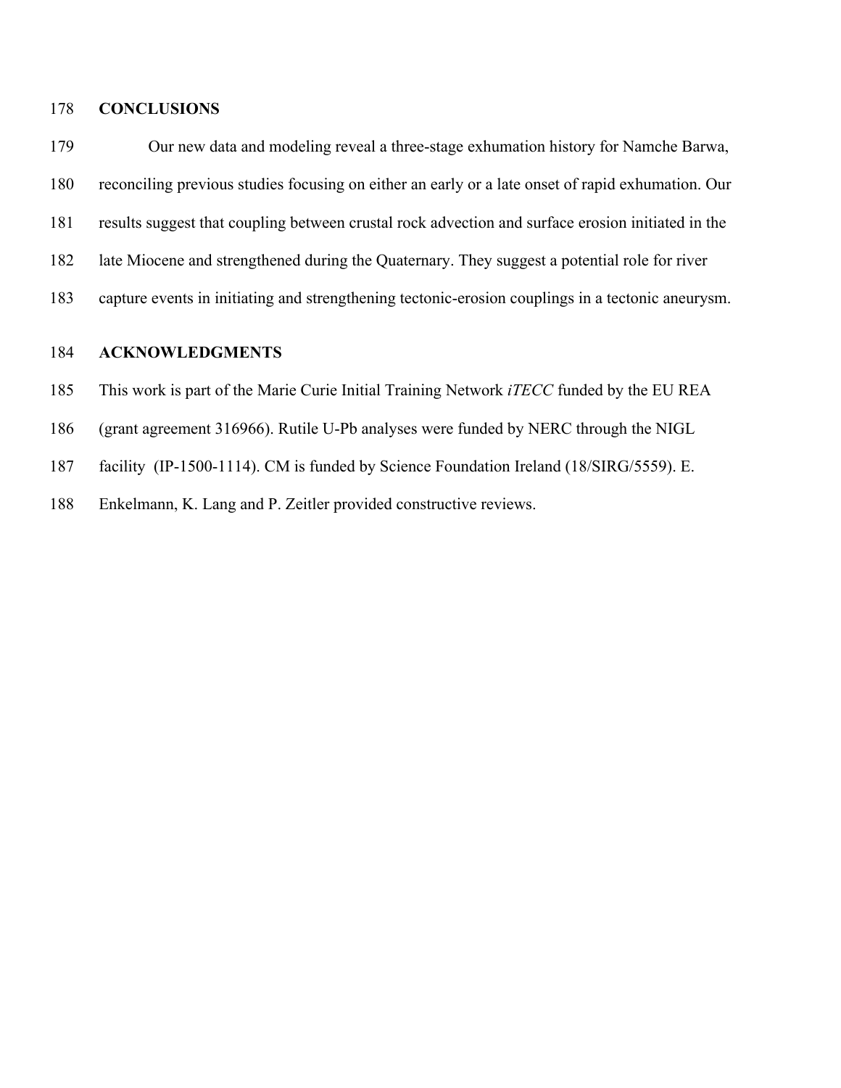# **CONCLUSIONS**

 Our new data and modeling reveal a three-stage exhumation history for Namche Barwa, reconciling previous studies focusing on either an early or a late onset of rapid exhumation. Our results suggest that coupling between crustal rock advection and surface erosion initiated in the late Miocene and strengthened during the Quaternary. They suggest a potential role for river capture events in initiating and strengthening tectonic-erosion couplings in a tectonic aneurysm.

# **ACKNOWLEDGMENTS**

- This work is part of the Marie Curie Initial Training Network *iTECC* funded by the EU REA
- (grant agreement 316966). Rutile U-Pb analyses were funded by NERC through the NIGL
- facility (IP-1500-1114). CM is funded by Science Foundation Ireland (18/SIRG/5559). E.
- Enkelmann, K. Lang and P. Zeitler provided constructive reviews.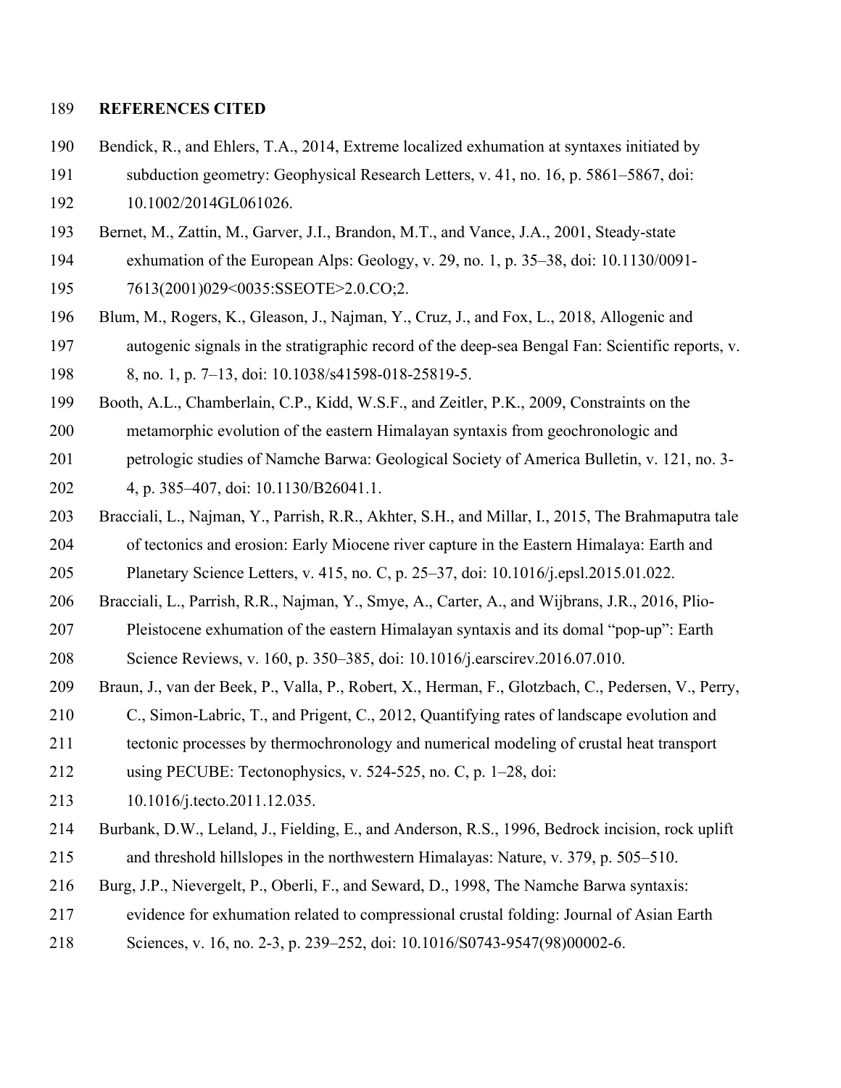# **REFERENCES CITED**

- Bendick, R., and Ehlers, T.A., 2014, Extreme localized exhumation at syntaxes initiated by subduction geometry: Geophysical Research Letters, v. 41, no. 16, p. 5861–5867, doi:
- 10.1002/2014GL061026.
- Bernet, M., Zattin, M., Garver, J.I., Brandon, M.T., and Vance, J.A., 2001, Steady-state
- exhumation of the European Alps: Geology, v. 29, no. 1, p. 35–38, doi: 10.1130/0091- 7613(2001)029<0035:SSEOTE>2.0.CO;2.
- Blum, M., Rogers, K., Gleason, J., Najman, Y., Cruz, J., and Fox, L., 2018, Allogenic and autogenic signals in the stratigraphic record of the deep-sea Bengal Fan: Scientific reports, v. 8, no. 1, p. 7–13, doi: 10.1038/s41598-018-25819-5.
- Booth, A.L., Chamberlain, C.P., Kidd, W.S.F., and Zeitler, P.K., 2009, Constraints on the
- metamorphic evolution of the eastern Himalayan syntaxis from geochronologic and
- petrologic studies of Namche Barwa: Geological Society of America Bulletin, v. 121, no. 3-
- 4, p. 385–407, doi: 10.1130/B26041.1.
- Bracciali, L., Najman, Y., Parrish, R.R., Akhter, S.H., and Millar, I., 2015, The Brahmaputra tale of tectonics and erosion: Early Miocene river capture in the Eastern Himalaya: Earth and Planetary Science Letters, v. 415, no. C, p. 25–37, doi: 10.1016/j.epsl.2015.01.022.
- Bracciali, L., Parrish, R.R., Najman, Y., Smye, A., Carter, A., and Wijbrans, J.R., 2016, Plio-
- Pleistocene exhumation of the eastern Himalayan syntaxis and its domal "pop-up": Earth Science Reviews, v. 160, p. 350–385, doi: 10.1016/j.earscirev.2016.07.010.
- Braun, J., van der Beek, P., Valla, P., Robert, X., Herman, F., Glotzbach, C., Pedersen, V., Perry,
- C., Simon-Labric, T., and Prigent, C., 2012, Quantifying rates of landscape evolution and
- tectonic processes by thermochronology and numerical modeling of crustal heat transport
- using PECUBE: Tectonophysics, v. 524-525, no. C, p. 1–28, doi:
- 10.1016/j.tecto.2011.12.035.
- Burbank, D.W., Leland, J., Fielding, E., and Anderson, R.S., 1996, Bedrock incision, rock uplift and threshold hillslopes in the northwestern Himalayas: Nature, v. 379, p. 505–510.
- Burg, J.P., Nievergelt, P., Oberli, F., and Seward, D., 1998, The Namche Barwa syntaxis:
- evidence for exhumation related to compressional crustal folding: Journal of Asian Earth
- Sciences, v. 16, no. 2-3, p. 239–252, doi: 10.1016/S0743-9547(98)00002-6.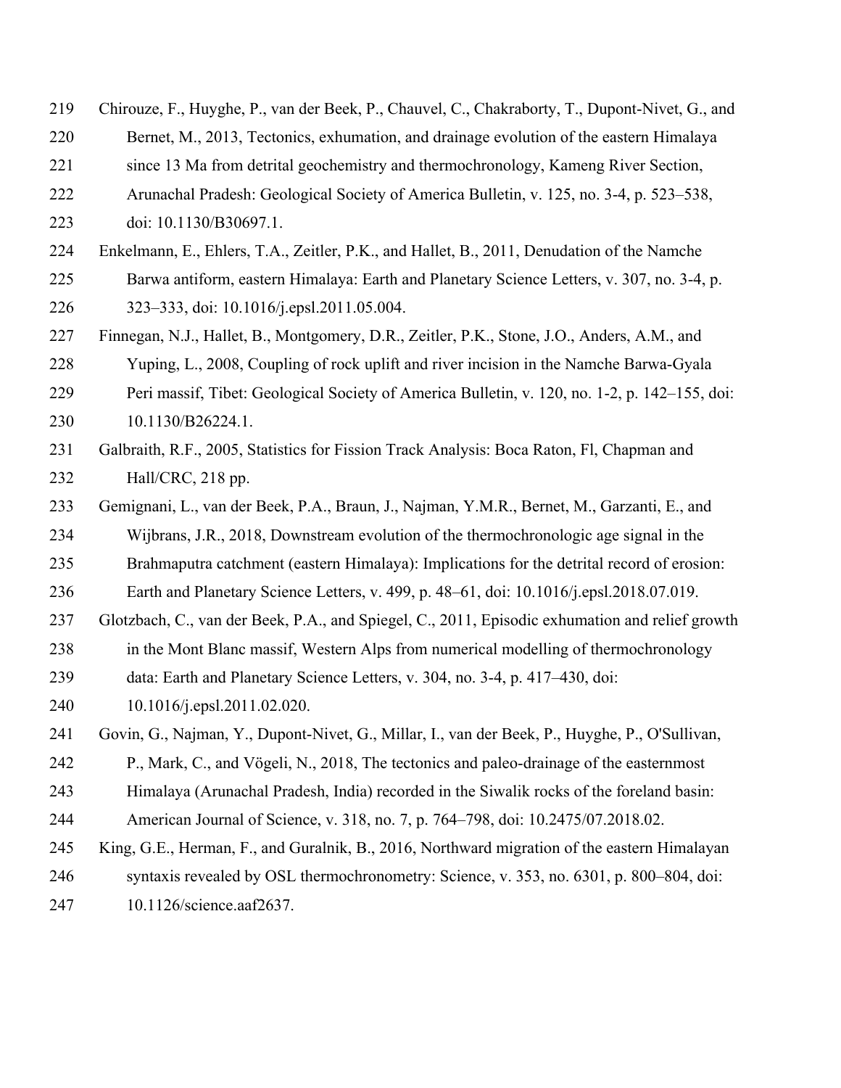- Chirouze, F., Huyghe, P., van der Beek, P., Chauvel, C., Chakraborty, T., Dupont-Nivet, G., and
- Bernet, M., 2013, Tectonics, exhumation, and drainage evolution of the eastern Himalaya
- since 13 Ma from detrital geochemistry and thermochronology, Kameng River Section,
- Arunachal Pradesh: Geological Society of America Bulletin, v. 125, no. 3-4, p. 523–538,
- doi: 10.1130/B30697.1.
- Enkelmann, E., Ehlers, T.A., Zeitler, P.K., and Hallet, B., 2011, Denudation of the Namche Barwa antiform, eastern Himalaya: Earth and Planetary Science Letters, v. 307, no. 3-4, p. 323–333, doi: 10.1016/j.epsl.2011.05.004.
- Finnegan, N.J., Hallet, B., Montgomery, D.R., Zeitler, P.K., Stone, J.O., Anders, A.M., and
- Yuping, L., 2008, Coupling of rock uplift and river incision in the Namche Barwa-Gyala
- Peri massif, Tibet: Geological Society of America Bulletin, v. 120, no. 1-2, p. 142–155, doi: 10.1130/B26224.1.
- Galbraith, R.F., 2005, Statistics for Fission Track Analysis: Boca Raton, Fl, Chapman and Hall/CRC, 218 pp.
- Gemignani, L., van der Beek, P.A., Braun, J., Najman, Y.M.R., Bernet, M., Garzanti, E., and Wijbrans, J.R., 2018, Downstream evolution of the thermochronologic age signal in the
- Brahmaputra catchment (eastern Himalaya): Implications for the detrital record of erosion:
- Earth and Planetary Science Letters, v. 499, p. 48–61, doi: 10.1016/j.epsl.2018.07.019.
- Glotzbach, C., van der Beek, P.A., and Spiegel, C., 2011, Episodic exhumation and relief growth
- in the Mont Blanc massif, Western Alps from numerical modelling of thermochronology
- data: Earth and Planetary Science Letters, v. 304, no. 3-4, p. 417–430, doi:
- 10.1016/j.epsl.2011.02.020.
- Govin, G., Najman, Y., Dupont-Nivet, G., Millar, I., van der Beek, P., Huyghe, P., O'Sullivan,
- P., Mark, C., and Vögeli, N., 2018, The tectonics and paleo-drainage of the easternmost
- Himalaya (Arunachal Pradesh, India) recorded in the Siwalik rocks of the foreland basin:
- American Journal of Science, v. 318, no. 7, p. 764–798, doi: 10.2475/07.2018.02.
- King, G.E., Herman, F., and Guralnik, B., 2016, Northward migration of the eastern Himalayan syntaxis revealed by OSL thermochronometry: Science, v. 353, no. 6301, p. 800–804, doi:
- 10.1126/science.aaf2637.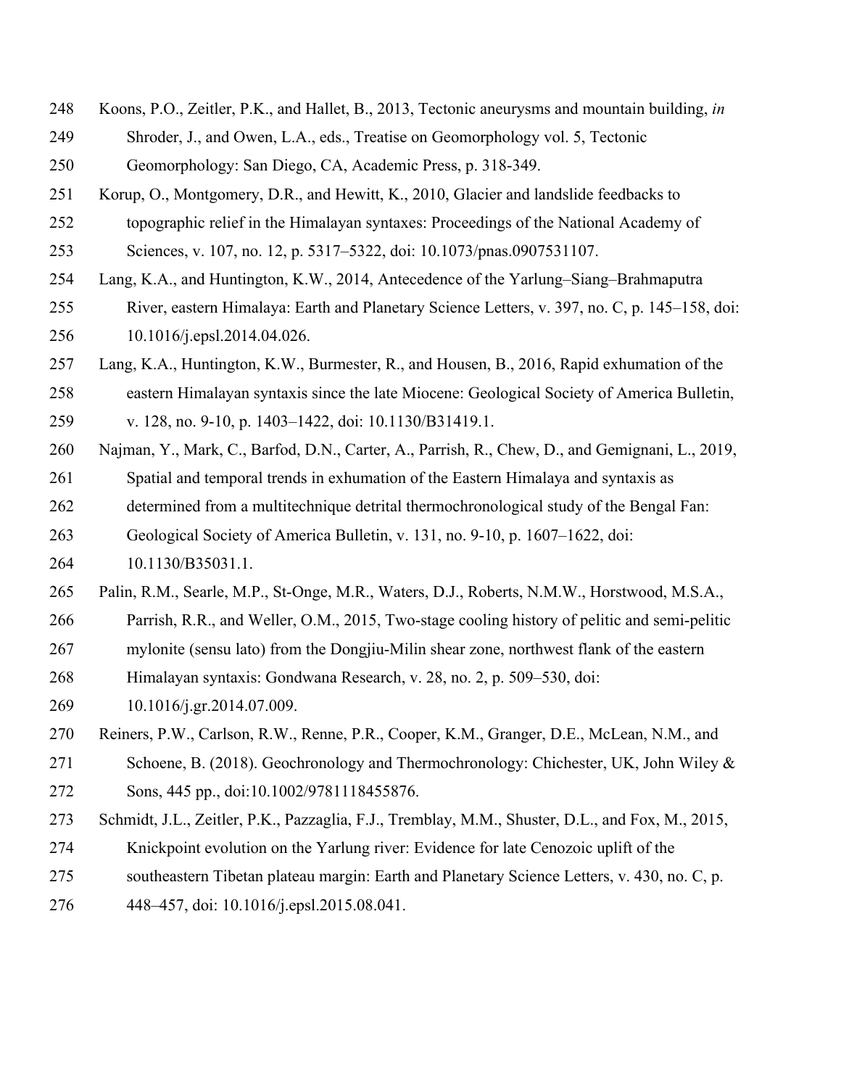- Koons, P.O., Zeitler, P.K., and Hallet, B., 2013, Tectonic aneurysms and mountain building, *in* Shroder, J., and Owen, L.A., eds., Treatise on Geomorphology vol. 5, Tectonic Geomorphology: San Diego, CA, Academic Press, p. 318-349.
- Korup, O., Montgomery, D.R., and Hewitt, K., 2010, Glacier and landslide feedbacks to topographic relief in the Himalayan syntaxes: Proceedings of the National Academy of Sciences, v. 107, no. 12, p. 5317–5322, doi: 10.1073/pnas.0907531107.
- Lang, K.A., and Huntington, K.W., 2014, Antecedence of the Yarlung–Siang–Brahmaputra River, eastern Himalaya: Earth and Planetary Science Letters, v. 397, no. C, p. 145–158, doi:

10.1016/j.epsl.2014.04.026.

 Lang, K.A., Huntington, K.W., Burmester, R., and Housen, B., 2016, Rapid exhumation of the eastern Himalayan syntaxis since the late Miocene: Geological Society of America Bulletin,

v. 128, no. 9-10, p. 1403–1422, doi: 10.1130/B31419.1.

- Najman, Y., Mark, C., Barfod, D.N., Carter, A., Parrish, R., Chew, D., and Gemignani, L., 2019, Spatial and temporal trends in exhumation of the Eastern Himalaya and syntaxis as determined from a multitechnique detrital thermochronological study of the Bengal Fan: Geological Society of America Bulletin, v. 131, no. 9-10, p. 1607–1622, doi:
- 10.1130/B35031.1.
- Palin, R.M., Searle, M.P., St-Onge, M.R., Waters, D.J., Roberts, N.M.W., Horstwood, M.S.A.,
- Parrish, R.R., and Weller, O.M., 2015, Two-stage cooling history of pelitic and semi-pelitic
- mylonite (sensu lato) from the Dongjiu-Milin shear zone, northwest flank of the eastern
- Himalayan syntaxis: Gondwana Research, v. 28, no. 2, p. 509–530, doi:
- 10.1016/j.gr.2014.07.009.
- Reiners, P.W., Carlson, R.W., Renne, P.R., Cooper, K.M., Granger, D.E., McLean, N.M., and
- Schoene, B. (2018). Geochronology and Thermochronology: Chichester, UK, John Wiley & Sons, 445 pp., doi:10.1002/9781118455876.
- Schmidt, J.L., Zeitler, P.K., Pazzaglia, F.J., Tremblay, M.M., Shuster, D.L., and Fox, M., 2015,
- Knickpoint evolution on the Yarlung river: Evidence for late Cenozoic uplift of the
- southeastern Tibetan plateau margin: Earth and Planetary Science Letters, v. 430, no. C, p.
- 448–457, doi: 10.1016/j.epsl.2015.08.041.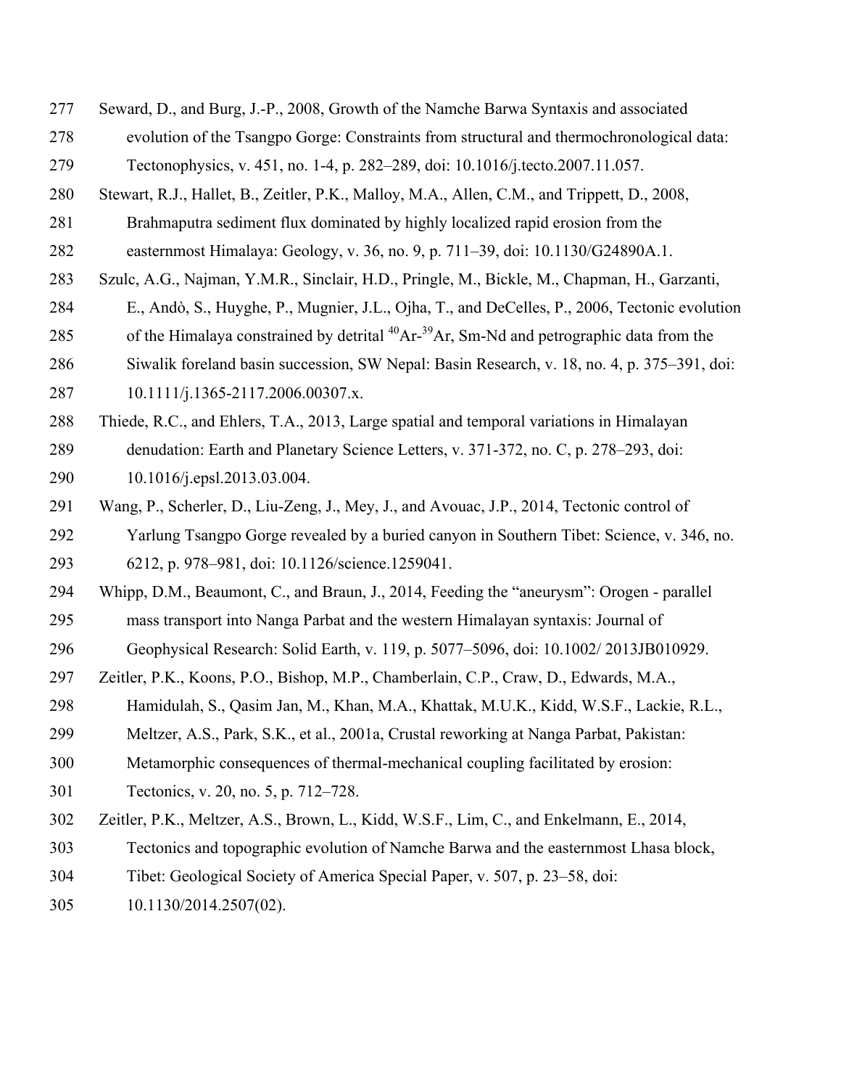- Seward, D., and Burg, J.-P., 2008, Growth of the Namche Barwa Syntaxis and associated evolution of the Tsangpo Gorge: Constraints from structural and thermochronological data:
- Tectonophysics, v. 451, no. 1-4, p. 282–289, doi: 10.1016/j.tecto.2007.11.057.
- Stewart, R.J., Hallet, B., Zeitler, P.K., Malloy, M.A., Allen, C.M., and Trippett, D., 2008,
- Brahmaputra sediment flux dominated by highly localized rapid erosion from the
- easternmost Himalaya: Geology, v. 36, no. 9, p. 711–39, doi: 10.1130/G24890A.1.
- Szulc, A.G., Najman, Y.M.R., Sinclair, H.D., Pringle, M., Bickle, M., Chapman, H., Garzanti,
- E., Andò, S., Huyghe, P., Mugnier, J.L., Ojha, T., and DeCelles, P., 2006, Tectonic evolution
- 285 of the Himalaya constrained by detrital  $^{40}Ar^{-39}Ar$ , Sm-Nd and petrographic data from the
- Siwalik foreland basin succession, SW Nepal: Basin Research, v. 18, no. 4, p. 375–391, doi:
- 287 10.1111/j.1365-2117.2006.00307.x.
- Thiede, R.C., and Ehlers, T.A., 2013, Large spatial and temporal variations in Himalayan denudation: Earth and Planetary Science Letters, v. 371-372, no. C, p. 278–293, doi: 10.1016/j.epsl.2013.03.004.
- Wang, P., Scherler, D., Liu-Zeng, J., Mey, J., and Avouac, J.P., 2014, Tectonic control of Yarlung Tsangpo Gorge revealed by a buried canyon in Southern Tibet: Science, v. 346, no. 6212, p. 978–981, doi: 10.1126/science.1259041.
- Whipp, D.M., Beaumont, C., and Braun, J., 2014, Feeding the "aneurysm": Orogen parallel mass transport into Nanga Parbat and the western Himalayan syntaxis: Journal of
- Geophysical Research: Solid Earth, v. 119, p. 5077–5096, doi: 10.1002/ 2013JB010929.
- Zeitler, P.K., Koons, P.O., Bishop, M.P., Chamberlain, C.P., Craw, D., Edwards, M.A.,
- Hamidulah, S., Qasim Jan, M., Khan, M.A., Khattak, M.U.K., Kidd, W.S.F., Lackie, R.L.,
- Meltzer, A.S., Park, S.K., et al., 2001a, Crustal reworking at Nanga Parbat, Pakistan:
- Metamorphic consequences of thermal-mechanical coupling facilitated by erosion:
- Tectonics, v. 20, no. 5, p. 712–728.
- Zeitler, P.K., Meltzer, A.S., Brown, L., Kidd, W.S.F., Lim, C., and Enkelmann, E., 2014,
- Tectonics and topographic evolution of Namche Barwa and the easternmost Lhasa block,
- Tibet: Geological Society of America Special Paper, v. 507, p. 23–58, doi:
- 10.1130/2014.2507(02).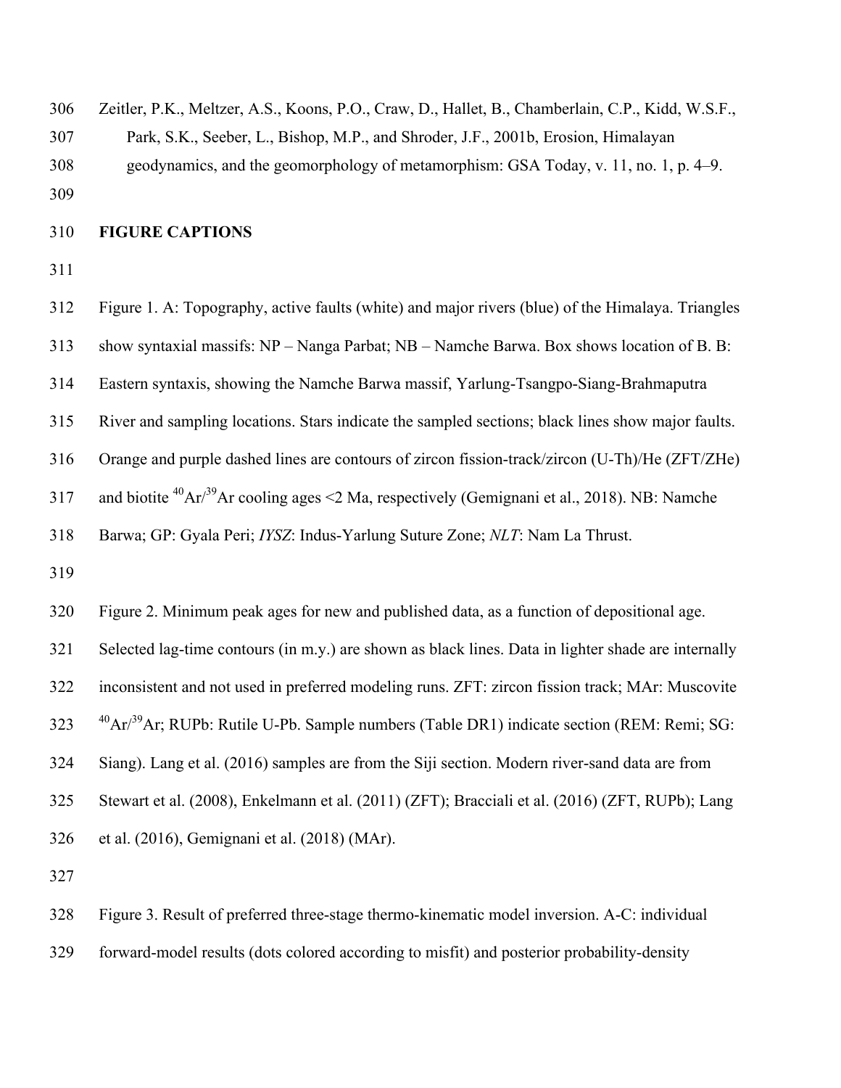Zeitler, P.K., Meltzer, A.S., Koons, P.O., Craw, D., Hallet, B., Chamberlain, C.P., Kidd, W.S.F., Park, S.K., Seeber, L., Bishop, M.P., and Shroder, J.F., 2001b, Erosion, Himalayan geodynamics, and the geomorphology of metamorphism: GSA Today, v. 11, no. 1, p. 4–9. 

# **FIGURE CAPTIONS**

 Figure 1. A: Topography, active faults (white) and major rivers (blue) of the Himalaya. Triangles show syntaxial massifs: NP – Nanga Parbat; NB – Namche Barwa. Box shows location of B. B: Eastern syntaxis, showing the Namche Barwa massif, Yarlung-Tsangpo-Siang-Brahmaputra River and sampling locations. Stars indicate the sampled sections; black lines show major faults. Orange and purple dashed lines are contours of zircon fission-track/zircon (U-Th)/He (ZFT/ZHe) 317 and biotite  ${}^{40}Ar^{39}Ar$  cooling ages <2 Ma, respectively (Gemignani et al., 2018). NB: Namche Barwa; GP: Gyala Peri; *IYSZ*: Indus-Yarlung Suture Zone; *NLT*: Nam La Thrust. Figure 2. Minimum peak ages for new and published data, as a function of depositional age. Selected lag-time contours (in m.y.) are shown as black lines. Data in lighter shade are internally inconsistent and not used in preferred modeling runs. ZFT: zircon fission track; MAr: Muscovite <sup>40</sup>Ar/<sup>39</sup>Ar; RUPb: Rutile U-Pb. Sample numbers (Table DR1) indicate section (REM: Remi; SG: Siang). Lang et al. (2016) samples are from the Siji section. Modern river-sand data are from Stewart et al. (2008), Enkelmann et al. (2011) (ZFT); Bracciali et al. (2016) (ZFT, RUPb); Lang et al. (2016), Gemignani et al. (2018) (MAr).

Figure 3. Result of preferred three-stage thermo-kinematic model inversion. A-C: individual

forward-model results (dots colored according to misfit) and posterior probability-density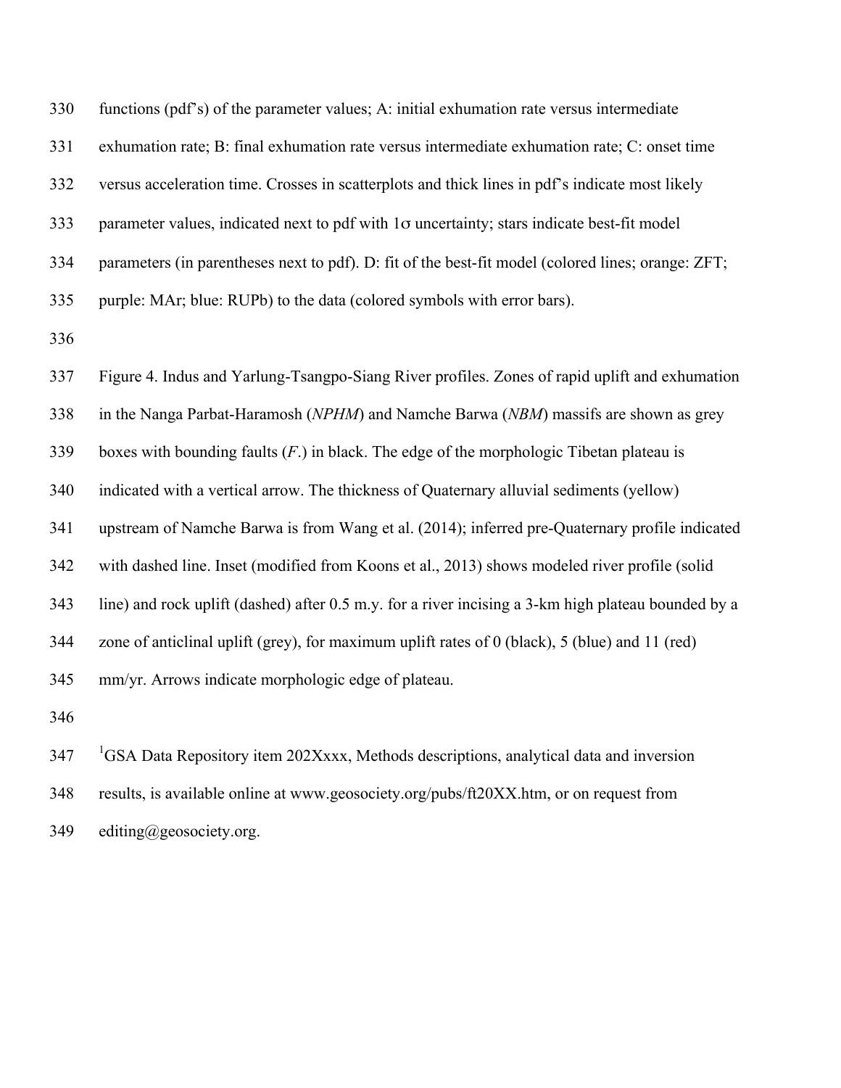| 330 | functions (pdf's) of the parameter values; A: initial exhumation rate versus intermediate           |
|-----|-----------------------------------------------------------------------------------------------------|
| 331 | exhumation rate; B: final exhumation rate versus intermediate exhumation rate; C: onset time        |
| 332 | versus acceleration time. Crosses in scatterplots and thick lines in pdf's indicate most likely     |
| 333 | parameter values, indicated next to pdf with 1o uncertainty; stars indicate best-fit model          |
| 334 | parameters (in parentheses next to pdf). D: fit of the best-fit model (colored lines; orange: ZFT;  |
| 335 | purple: MAr; blue: RUPb) to the data (colored symbols with error bars).                             |
| 336 |                                                                                                     |
| 337 | Figure 4. Indus and Yarlung-Tsangpo-Siang River profiles. Zones of rapid uplift and exhumation      |
| 338 | in the Nanga Parbat-Haramosh (NPHM) and Namche Barwa (NBM) massifs are shown as grey                |
| 339 | boxes with bounding faults $(F)$ in black. The edge of the morphologic Tibetan plateau is           |
| 340 | indicated with a vertical arrow. The thickness of Quaternary alluvial sediments (yellow)            |
| 341 | upstream of Namche Barwa is from Wang et al. (2014); inferred pre-Quaternary profile indicated      |
| 342 | with dashed line. Inset (modified from Koons et al., 2013) shows modeled river profile (solid       |
| 343 | line) and rock uplift (dashed) after 0.5 m.y. for a river incising a 3-km high plateau bounded by a |
| 344 | zone of anticlinal uplift (grey), for maximum uplift rates of 0 (black), 5 (blue) and 11 (red)      |
| 345 | mm/yr. Arrows indicate morphologic edge of plateau.                                                 |
| 346 |                                                                                                     |

<sup>1</sup> GSA Data Repository item 202Xxxx, Methods descriptions, analytical data and inversion results, is available online at www.geosociety.org/pubs/ft20XX.htm, or on request from editing@geosociety.org.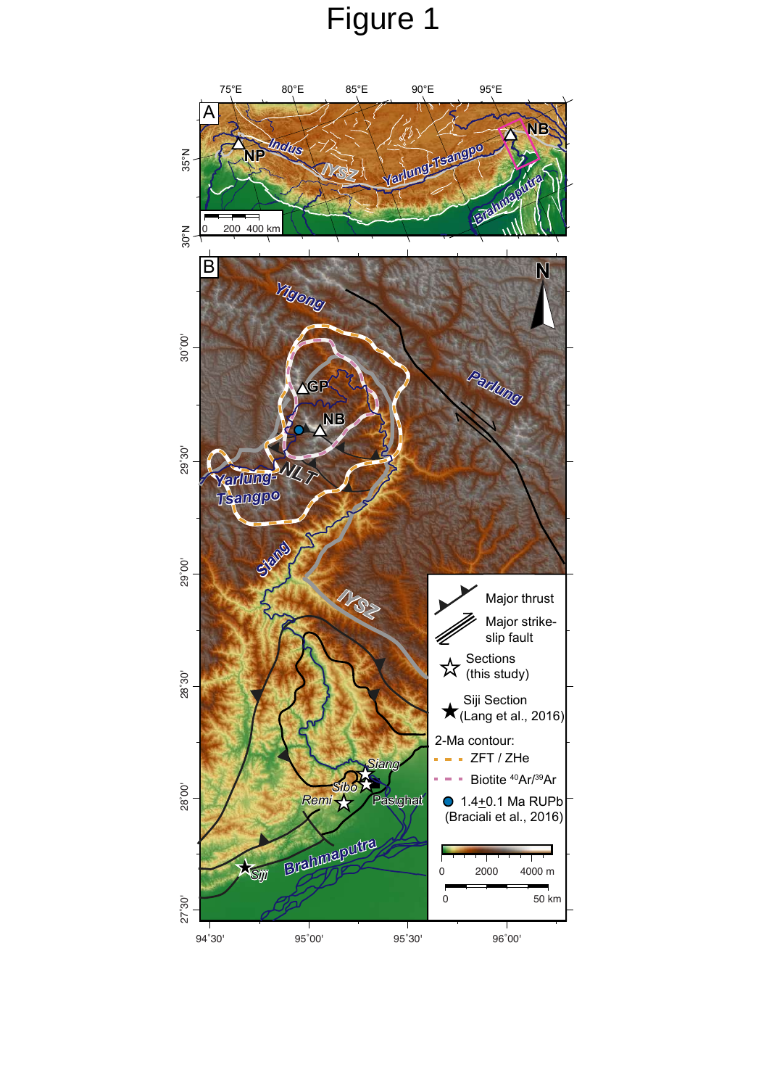# Figure 1

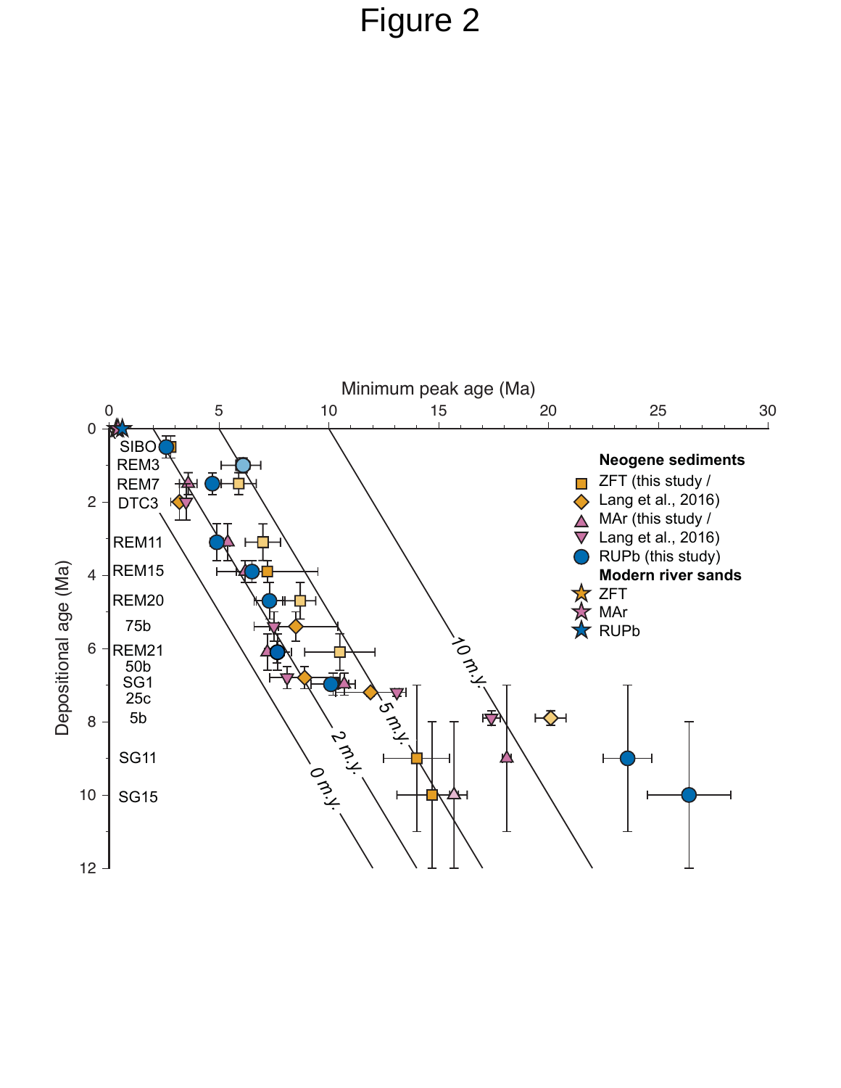# Figure 2

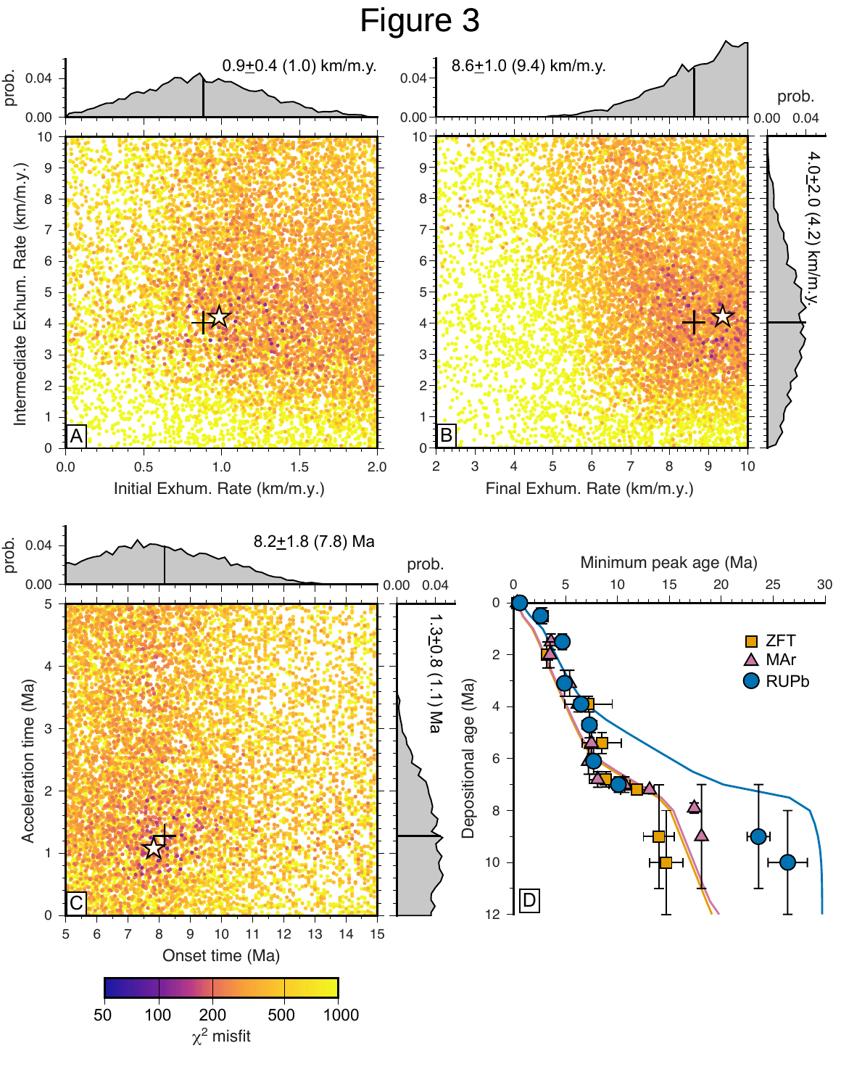